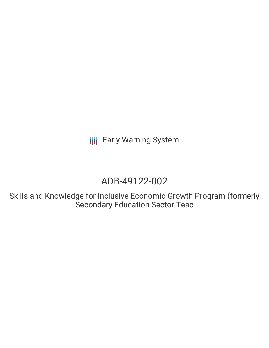# ADB-49122-002

Skills and Knowledge for Inclusive Economic Growth Program (formerly Secondary Education Sector Teac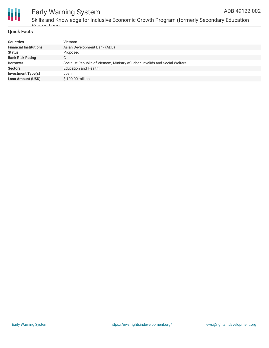

Skills and Knowledge for Inclusive Economic Growth Program (formerly Secondary Education Sector Teac

#### **Quick Facts**

| <b>Financial Institutions</b><br>Asian Development Bank (ADB)<br>Proposed<br><b>Status</b><br><b>Bank Risk Rating</b><br>C<br>Socialist Republic of Vietnam, Ministry of Labor, Invalids and Social Welfare<br><b>Borrower</b> |
|--------------------------------------------------------------------------------------------------------------------------------------------------------------------------------------------------------------------------------|
|                                                                                                                                                                                                                                |
|                                                                                                                                                                                                                                |
|                                                                                                                                                                                                                                |
|                                                                                                                                                                                                                                |
| <b>Education and Health</b><br><b>Sectors</b>                                                                                                                                                                                  |
| <b>Investment Type(s)</b><br>Loan                                                                                                                                                                                              |
| <b>Loan Amount (USD)</b><br>\$100.00 million                                                                                                                                                                                   |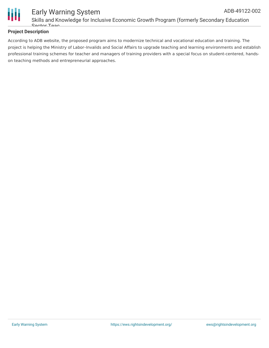

### **Project Description**

According to ADB website, the proposed program aims to modernize technical and vocational education and training. The project is helping the Ministry of Labor–Invalids and Social Affairs to upgrade teaching and learning environments and establish professional training schemes for teacher and managers of training providers with a special focus on student-centered, handson teaching methods and entrepreneurial approaches.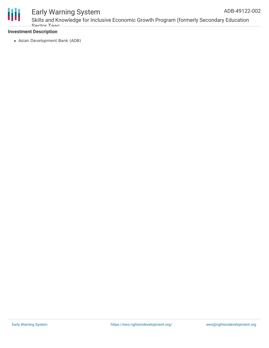

Skills and Knowledge for Inclusive Economic Growth Program (formerly Secondary Education Sector Teac

#### **Investment Description**

Asian Development Bank (ADB)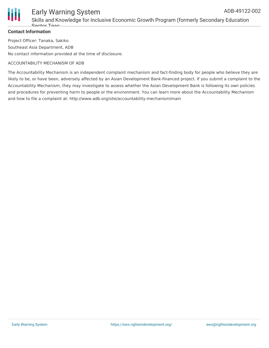

Skills and Knowledge for Inclusive Economic Growth Program (formerly Secondary Education Sector Teac

### **Contact Information**

Project Officer: Tanaka, Sakiko Southeast Asia Department, ADB No contact information provided at the time of disclosure.

#### ACCOUNTABILITY MECHANISM OF ADB

The Accountability Mechanism is an independent complaint mechanism and fact-finding body for people who believe they are likely to be, or have been, adversely affected by an Asian Development Bank-financed project. If you submit a complaint to the Accountability Mechanism, they may investigate to assess whether the Asian Development Bank is following its own policies and procedures for preventing harm to people or the environment. You can learn more about the Accountability Mechanism and how to file a complaint at: http://www.adb.org/site/accountability-mechanism/main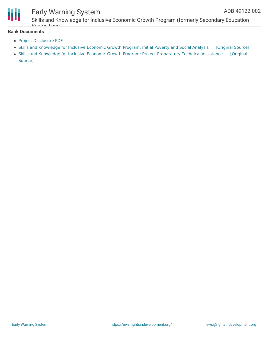

Skills and Knowledge for Inclusive Economic Growth Program (formerly Secondary Education Sector Teac

### **Bank Documents**

- Project [Disclosure](https://www.adb.org/printpdf/projects/49122-002/main) PDF
- Skills and [Knowledge](https://ewsdata.rightsindevelopment.org/files/documents/02/ADB-49122-002_XmltraH.pdf) for Inclusive Economic Growth Program: Initial Poverty and Social Analysis [\[Original](https://www.adb.org/projects/documents/vie-skills-and-knowledge-inclusive-economic-growth-program-ipsa) Source]
- Skills and Knowledge for Inclusive Economic Growth Program: Project [Preparatory](https://ewsdata.rightsindevelopment.org/files/documents/02/ADB-49122-002.pdf) Technical Assistance [Original Source]